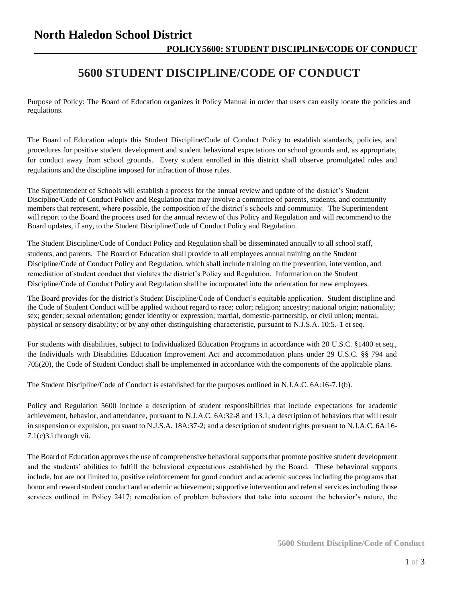## **North Haledon School District POLICY5600: STUDENT DISCIPLINE/CODE OF CONDUCT**

## **5600 STUDENT DISCIPLINE/CODE OF CONDUCT**

Purpose of Policy: The Board of Education organizes it Policy Manual in order that users can easily locate the policies and regulations.

The Board of Education adopts this Student Discipline/Code of Conduct Policy to establish standards, policies, and procedures for positive student development and student behavioral expectations on school grounds and, as appropriate, for conduct away from school grounds. Every student enrolled in this district shall observe promulgated rules and regulations and the discipline imposed for infraction of those rules.

The Superintendent of Schools will establish a process for the annual review and update of the district's Student Discipline/Code of Conduct Policy and Regulation that may involve a committee of parents, students, and community members that represent, where possible, the composition of the district's schools and community. The Superintendent will report to the Board the process used for the annual review of this Policy and Regulation and will recommend to the Board updates, if any, to the Student Discipline/Code of Conduct Policy and Regulation.

The Student Discipline/Code of Conduct Policy and Regulation shall be disseminated annually to all school staff, students, and parents. The Board of Education shall provide to all employees annual training on the Student Discipline/Code of Conduct Policy and Regulation, which shall include training on the prevention, intervention, and remediation of student conduct that violates the district's Policy and Regulation. Information on the Student Discipline/Code of Conduct Policy and Regulation shall be incorporated into the orientation for new employees.

The Board provides for the district's Student Discipline/Code of Conduct's equitable application. Student discipline and the Code of Student Conduct will be applied without regard to race; color; religion; ancestry; national origin; nationality; sex; gender; sexual orientation; gender identity or expression; martial, domestic-partnership, or civil union; mental, physical or sensory disability; or by any other distinguishing characteristic, pursuant to N.J.S.A. 10:5.-1 et seq.

For students with disabilities, subject to Individualized Education Programs in accordance with 20 U.S.C. §1400 et seq., the Individuals with Disabilities Education Improvement Act and accommodation plans under 29 U.S.C. §§ 794 and 705(20), the Code of Student Conduct shall be implemented in accordance with the components of the applicable plans.

The Student Discipline/Code of Conduct is established for the purposes outlined in N.J.A.C. 6A:16-7.1(b).

Policy and Regulation 5600 include a description of student responsibilities that include expectations for academic achievement, behavior, and attendance, pursuant to N.J.A.C. 6A:32-8 and 13.1; a description of behaviors that will result in suspension or expulsion, pursuant to N.J.S.A. 18A:37-2; and a description of student rights pursuant to N.J.A.C. 6A:16- 7.1(c)3.i through vii.

The Board of Education approves the use of comprehensive behavioral supports that promote positive student development and the students' abilities to fulfill the behavioral expectations established by the Board. These behavioral supports include, but are not limited to, positive reinforcement for good conduct and academic success including the programs that honor and reward student conduct and academic achievement; supportive intervention and referral services including those services outlined in Policy 2417; remediation of problem behaviors that take into account the behavior's nature, the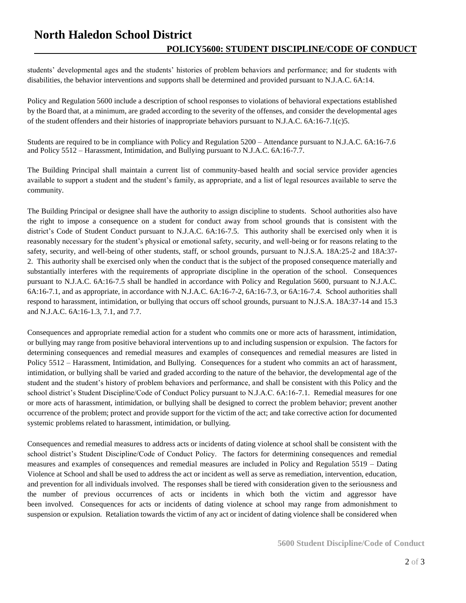## **North Haledon School District POLICY5600: STUDENT DISCIPLINE/CODE OF CONDUCT**

students' developmental ages and the students' histories of problem behaviors and performance; and for students with disabilities, the behavior interventions and supports shall be determined and provided pursuant to N.J.A.C. 6A:14.

Policy and Regulation 5600 include a description of school responses to violations of behavioral expectations established by the Board that, at a minimum, are graded according to the severity of the offenses, and consider the developmental ages of the student offenders and their histories of inappropriate behaviors pursuant to N.J.A.C. 6A:16-7.1(c)5.

Students are required to be in compliance with Policy and Regulation 5200 – Attendance pursuant to N.J.A.C. 6A:16-7.6 and Policy 5512 – Harassment, Intimidation, and Bullying pursuant to N.J.A.C. 6A:16-7.7.

The Building Principal shall maintain a current list of community-based health and social service provider agencies available to support a student and the student's family, as appropriate, and a list of legal resources available to serve the community.

The Building Principal or designee shall have the authority to assign discipline to students. School authorities also have the right to impose a consequence on a student for conduct away from school grounds that is consistent with the district's Code of Student Conduct pursuant to N.J.A.C. 6A:16-7.5. This authority shall be exercised only when it is reasonably necessary for the student's physical or emotional safety, security, and well-being or for reasons relating to the safety, security, and well-being of other students, staff, or school grounds, pursuant to N.J.S.A. 18A:25-2 and 18A:37- 2. This authority shall be exercised only when the conduct that is the subject of the proposed consequence materially and substantially interferes with the requirements of appropriate discipline in the operation of the school. Consequences pursuant to N.J.A.C. 6A:16-7.5 shall be handled in accordance with Policy and Regulation 5600, pursuant to N.J.A.C. 6A:16-7.1, and as appropriate, in accordance with N.J.A.C. 6A:16-7-2, 6A:16-7.3, or 6A:16-7.4. School authorities shall respond to harassment, intimidation, or bullying that occurs off school grounds, pursuant to N.J.S.A. 18A:37-14 and 15.3 and N.J.A.C. 6A:16-1.3, 7.1, and 7.7.

Consequences and appropriate remedial action for a student who commits one or more acts of harassment, intimidation, or bullying may range from positive behavioral interventions up to and including suspension or expulsion. The factors for determining consequences and remedial measures and examples of consequences and remedial measures are listed in Policy 5512 – Harassment, Intimidation, and Bullying. Consequences for a student who commits an act of harassment, intimidation, or bullying shall be varied and graded according to the nature of the behavior, the developmental age of the student and the student's history of problem behaviors and performance, and shall be consistent with this Policy and the school district's Student Discipline/Code of Conduct Policy pursuant to N.J.A.C. 6A:16-7.1. Remedial measures for one or more acts of harassment, intimidation, or bullying shall be designed to correct the problem behavior; prevent another occurrence of the problem; protect and provide support for the victim of the act; and take corrective action for documented systemic problems related to harassment, intimidation, or bullying.

Consequences and remedial measures to address acts or incidents of dating violence at school shall be consistent with the school district's Student Discipline/Code of Conduct Policy. The factors for determining consequences and remedial measures and examples of consequences and remedial measures are included in Policy and Regulation 5519 – Dating Violence at School and shall be used to address the act or incident as well as serve as remediation, intervention, education, and prevention for all individuals involved. The responses shall be tiered with consideration given to the seriousness and the number of previous occurrences of acts or incidents in which both the victim and aggressor have been involved. Consequences for acts or incidents of dating violence at school may range from admonishment to suspension or expulsion. Retaliation towards the victim of any act or incident of dating violence shall be considered when

**5600 Student Discipline/Code of Conduct**